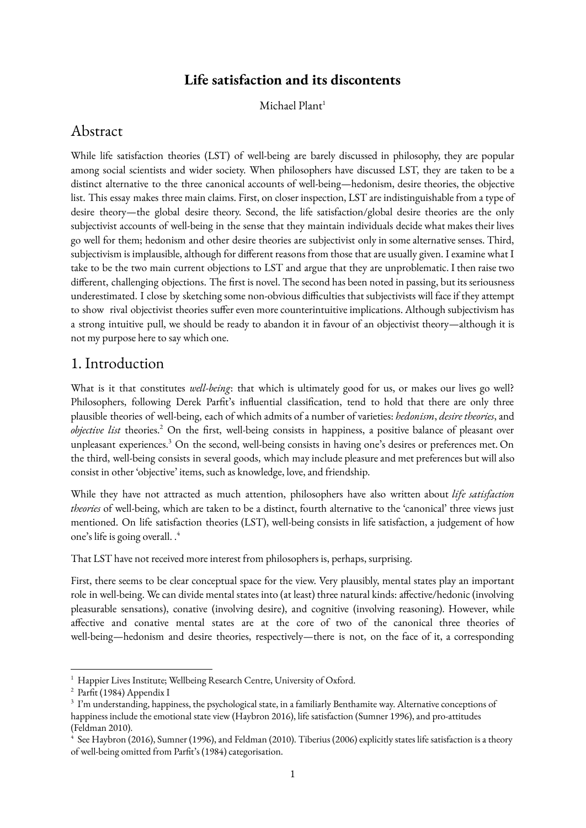### **Life satisfaction and its discontents**

Michael Plant<sup>1</sup>

### Abstract

While life satisfaction theories (LST) of well-being are barely discussed in philosophy, they are popular among social scientists and wider society. When philosophers have discussed LST, they are taken to be a distinct alternative to the three canonical accounts of well-being—hedonism, desire theories, the objective list. This essay makes three main claims. First, on closer inspection, LST are indistinguishable from a type of desire theory—the global desire theory. Second, the life satisfaction/global desire theories are the only subjectivist accounts of well-being in the sense that they maintain individuals decide what makes their lives go well for them; hedonism and other desire theories are subjectivist only in some alternative senses. Third, subjectivism is implausible, although for different reasons from those that are usually given. I examine what I take to be the two main current objections to LST and argue that they are unproblematic. I then raise two different, challenging objections. The first is novel. The second has been noted in passing, but its seriousness underestimated. I close by sketching some non-obvious difficulties that subjectivists will face if they attempt to show rival objectivist theories suffer even more counterintuitive implications. Although subjectivism has a strong intuitive pull, we should be ready to abandon it in favour of an objectivist theory—although it is not my purpose here to say which one.

#### 1. Introduction

What is it that constitutes *well-being*: that which is ultimately good for us, or makes our lives go well? Philosophers, following Derek Parfit's influential classification, tend to hold that there are only three plausible theories of well-being, each of which admits of a number of varieties: *hedonism*, *desire theories*, and *objective list* theories.<sup>2</sup> On the first, well-being consists in happiness, a positive balance of pleasant over unpleasant experiences.<sup>3</sup> On the second, well-being consists in having one's desires or preferences met. On the third, well-being consists in several goods, which may include pleasure and met preferences but will also consist in other 'objective' items, such as knowledge, love, and friendship.

While they have not attracted as much attention, philosophers have also written about *life satisfaction theories* of well-being, which are taken to be a distinct, fourth alternative to the 'canonical' three views just mentioned. On life satisfaction theories (LST), well-being consists in life satisfaction, a judgement of how one's life is going overall. .<sup>4</sup>

That LST have not received more interest from philosophers is, perhaps, surprising.

First, there seems to be clear conceptual space for the view. Very plausibly, mental states play an important role in well-being. We can divide mental states into (at least) three natural kinds: affective/hedonic (involving pleasurable sensations), conative (involving desire), and cognitive (involving reasoning). However, while affective and conative mental states are at the core of two of the canonical three theories of well-being—hedonism and desire theories, respectively—there is not, on the face of it, a corresponding

<sup>&</sup>lt;sup>1</sup> Happier Lives Institute; Wellbeing Research Centre, University of Oxford.

<sup>2</sup> Parfit (1984) Appendix I

 $3\,$  I'm understanding, happiness, the psychological state, in a familiarly Benthamite way. Alternative conceptions of happiness include the emotional state view (Haybron 2016), life satisfaction (Sumner 1996), and pro-attitudes (Feldman 2010).

See Haybron (2016), Sumner (1996), and Feldman (2010). Tiberius (2006) explicitly states life satisfaction is a theory of well-being omitted from Parfit's (1984) categorisation.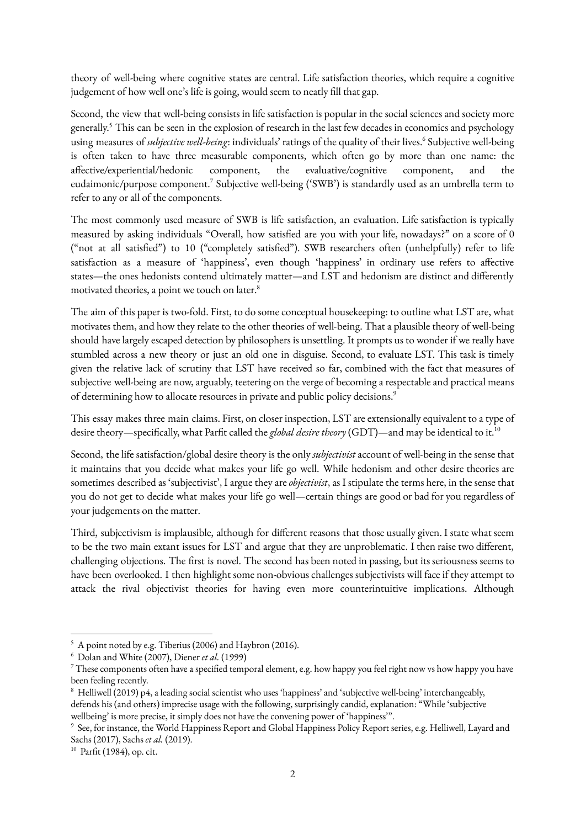theory of well-being where cognitive states are central. Life satisfaction theories, which require a cognitive judgement of how well one's life is going, would seem to neatly fill that gap.

Second, the view that well-being consists in life satisfaction is popular in the social sciences and society more generally. This can be seen in the explosion of research in the last few decades in economics and psychology <sup>5</sup> using measures of *subjective well-being*: individuals' ratings of the quality of their lives.<sup>6</sup> Subjective well-being is often taken to have three measurable components, which often go by more than one name: the affective/experiential/hedonic component, the evaluative/cognitive component, and the eudaimonic/purpose component.<sup>7</sup> Subjective well-being ('SWB') is standardly used as an umbrella term to refer to any or all of the components.

The most commonly used measure of SWB is life satisfaction, an evaluation. Life satisfaction is typically measured by asking individuals "Overall, how satisfied are you with your life, nowadays?" on a score of 0 ("not at all satisfied") to 10 ("completely satisfied"). SWB researchers often (unhelpfully) refer to life satisfaction as a measure of 'happiness', even though 'happiness' in ordinary use refers to affective states—the ones hedonists contend ultimately matter—and LST and hedonism are distinct and differently motivated theories, a point we touch on later.<sup>8</sup>

The aim of this paper is two-fold. First, to do some conceptual housekeeping: to outline what LST are, what motivates them, and how they relate to the other theories of well-being. That a plausible theory of well-being should have largely escaped detection by philosophers is unsettling. It prompts us to wonder if we really have stumbled across a new theory or just an old one in disguise. Second, to evaluate LST. This task is timely given the relative lack of scrutiny that LST have received so far, combined with the fact that measures of subjective well-being are now, arguably, teetering on the verge of becoming a respectable and practical means of determining how to allocate resources in private and public policy decisions.<sup>9</sup>

This essay makes three main claims. First, on closer inspection, LST are extensionally equivalent to a type of desire theory—specifically, what Parfit called the *global desire theory* (GDT)—and may be identical to it.<sup>10</sup>

Second, the life satisfaction/global desire theory is the only *subjectivist*account of well-being in the sense that it maintains that you decide what makes your life go well. While hedonism and other desire theories are sometimes described as 'subjectivist', I argue they are*objectivist*, as I stipulate the terms here, in the sense that you do not get to decide what makes your life go well—certain things are good or bad for you regardless of your judgements on the matter.

Third, subjectivism is implausible, although for different reasons that those usually given. I state what seem to be the two main extant issues for LST and argue that they are unproblematic. I then raise two different, challenging objections. The first is novel. The second has been noted in passing, but its seriousness seems to have been overlooked. I then highlight some non-obvious challenges subjectivists will face if they attempt to attack the rival objectivist theories for having even more counterintuitive implications. Although

<sup>10</sup> Parfit (1984), op. cit.

<sup>5</sup> A point noted by e.g. Tiberius (2006) and Haybron (2016).

<sup>6</sup> Dolan and White (2007), Diener *et al.* (1999)

<sup>7</sup> These components often have a specified temporal element, e.g. how happy you feel right now vs how happy you have been feeling recently.

<sup>8</sup> Helliwell (2019) p4, a leading social scientist who uses 'happiness' and 'subjective well-being' interchangeably, defends his (and others) imprecise usage with the following, surprisingly candid, explanation: "While 'subjective wellbeing' is more precise, it simply does not have the convening power of 'happiness'".

<sup>9</sup> See, for instance, the World Happiness Report and Global Happiness Policy Report series, e.g. Helliwell, Layard and Sachs (2017), Sachs *et al.* (2019).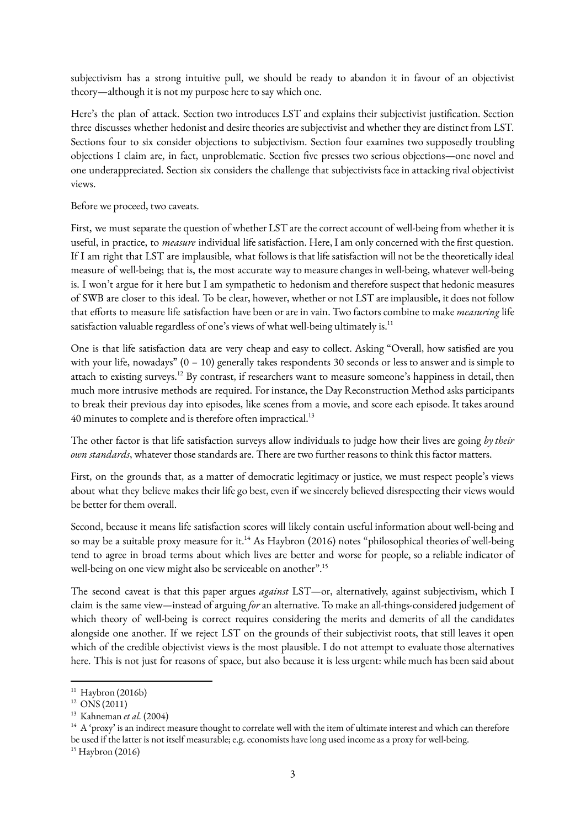subjectivism has a strong intuitive pull, we should be ready to abandon it in favour of an objectivist theory—although it is not my purpose here to say which one.

Here's the plan of attack. Section two introduces LST and explains their subjectivist justification. Section three discusses whether hedonist and desire theories are subjectivist and whether they are distinct from LST. Sections four to six consider objections to subjectivism. Section four examines two supposedly troubling objections I claim are, in fact, unproblematic. Section five presses two serious objections—one novel and one underappreciated. Section six considers the challenge that subjectivists face in attacking rival objectivist views.

Before we proceed, two caveats.

First, we must separate the question of whether LST are the correct account of well-being from whether it is useful, in practice, to *measure* individual life satisfaction. Here, I am only concerned with the first question. If I am right that LST are implausible, what follows is that life satisfaction will not be the theoretically ideal measure of well-being; that is, the most accurate way to measure changes in well-being, whatever well-being is. I won't argue for it here but I am sympathetic to hedonism and therefore suspect that hedonic measures of SWB are closer to this ideal. To be clear, however, whether or not LST are implausible, it does not follow that efforts to measure life satisfaction have been or are in vain. Two factors combine to make *measuring* life satisfaction valuable regardless of one's views of what well-being ultimately is. $^{11}$ 

One is that life satisfaction data are very cheap and easy to collect. Asking "Overall, how satisfied are you with your life, nowadays"  $(0 - 10)$  generally takes respondents 30 seconds or less to answer and is simple to attach to existing surveys.<sup>12</sup> By contrast, if researchers want to measure someone's happiness in detail, then much more intrusive methods are required. For instance, the Day Reconstruction Method asks participants to break their previous day into episodes, like scenes from a movie, and score each episode. It takes around 40 minutes to complete and is therefore often impractical.<sup>13</sup>

The other factor is that life satisfaction surveys allow individuals to judge how their lives are going *by their own standards*, whatever those standards are. There are two further reasons to think this factor matters.

First, on the grounds that, as a matter of democratic legitimacy or justice, we must respect people's views about what they believe makes their life go best, even if we sincerely believed disrespecting their views would be better for them overall.

Second, because it means life satisfaction scores will likely contain useful information about well-being and so may be a suitable proxy measure for it.<sup>14</sup> As Haybron (2016) notes "philosophical theories of well-being tend to agree in broad terms about which lives are better and worse for people, so a reliable indicator of well-being on one view might also be serviceable on another".<sup>15</sup>

The second caveat is that this paper argues *against* LST—or, alternatively, against subjectivism, which I claim is the same view*—*instead of arguing *for*an alternative. To make an all-things-considered judgement of which theory of well-being is correct requires considering the merits and demerits of all the candidates alongside one another. If we reject LST on the grounds of their subjectivist roots, that still leaves it open which of the credible objectivist views is the most plausible. I do not attempt to evaluate those alternatives here. This is not just for reasons of space, but also because it is less urgent: while much has been said about

<sup>&</sup>lt;sup>11</sup> Haybron (2016b)

<sup>12</sup> ONS (2011)

<sup>13</sup> Kahneman *et al.* (2004)

<sup>&</sup>lt;sup>14</sup> A 'proxy' is an indirect measure thought to correlate well with the item of ultimate interest and which can therefore be used if the latter is not itself measurable; e.g. economists have long used income as a proxy for well-being.

<sup>15</sup> Haybron (2016)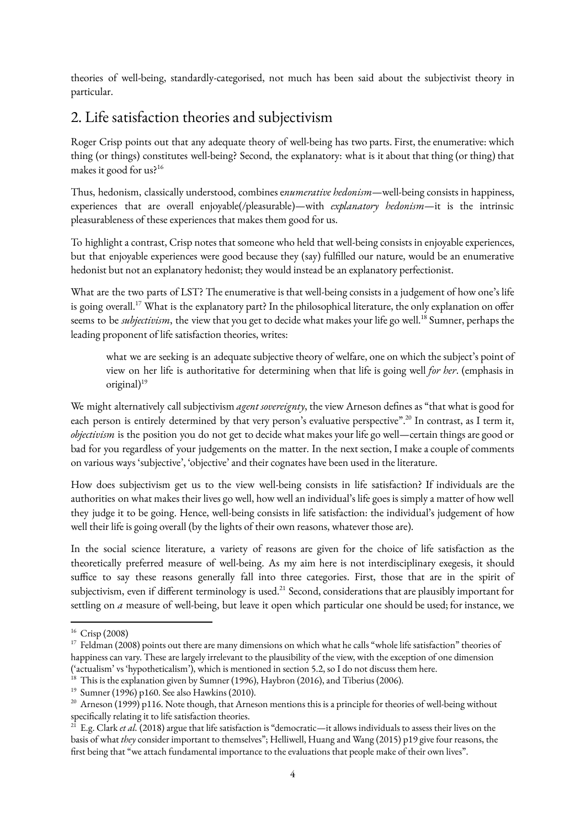theories of well-being, standardly-categorised, not much has been said about the subjectivist theory in particular.

## 2. Life satisfaction theories and subjectivism

Roger Crisp points out that any adequate theory of well-being has two parts. First, the enumerative: which thing (or things) constitutes well-being? Second, the explanatory: what is it about that thing (or thing) that makes it good for us?<sup>16</sup>

Thus, hedonism, classically understood, combines e*numerative hedonism*—well-being consists in happiness, experiences that are overall enjoyable(/pleasurable)—with *explanatory hedonism*—it is the intrinsic pleasurableness of these experiences that makes them good for us.

To highlight a contrast, Crisp notes that someone who held that well-being consists in enjoyable experiences, but that enjoyable experiences were good because they (say) fulfilled our nature, would be an enumerative hedonist but not an explanatory hedonist; they would instead be an explanatory perfectionist.

What are the two parts of LST? The enumerative is that well-being consists in a judgement of how one's life is going overall.<sup>17</sup> What is the explanatory part? In the philosophical literature, the only explanation on offer seems to be *subjectivism*, the view that you get to decide what makes your life go well.<sup>18</sup> Sumner, perhaps the leading proponent of life satisfaction theories, writes:

what we are seeking is an adequate subjective theory of welfare, one on which the subject's point of view on her life is authoritative for determining when that life is going well *for her*. (emphasis in original)<sup>19</sup>

We might alternatively call subjectivism *agent sovereignty*, the view Arneson defines as "that what is good for each person is entirely determined by that very person's evaluative perspective".<sup>20</sup> In contrast, as I term it, *objectivism* is the position you do not get to decide what makes your life go well—certain things are good or bad for you regardless of your judgements on the matter. In the next section, I make a couple of comments on various ways 'subjective', 'objective' and their cognates have been used in the literature.

How does subjectivism get us to the view well-being consists in life satisfaction? If individuals are the authorities on what makes their lives go well, how well an individual's life goes is simply a matter of how well they judge it to be going. Hence, well-being consists in life satisfaction: the individual's judgement of how well their life is going overall (by the lights of their own reasons, whatever those are).

In the social science literature, a variety of reasons are given for the choice of life satisfaction as the theoretically preferred measure of well-being. As my aim here is not interdisciplinary exegesis, it should suffice to say these reasons generally fall into three categories. First, those that are in the spirit of subjectivism, even if different terminology is used.<sup>21</sup> Second, considerations that are plausibly important for settling on *a* measure of well-being, but leave it open which particular one should be used; for instance, we

<sup>16</sup> Crisp (2008)

<sup>&</sup>lt;sup>17</sup> Feldman (2008) points out there are many dimensions on which what he calls "whole life satisfaction" theories of happiness can vary. These are largely irrelevant to the plausibility of the view, with the exception of one dimension ('actualism' vs 'hypotheticalism'), which is mentioned in section 5.2, so I do not discuss them here.

 $18$  This is the explanation given by Sumner (1996), Haybron (2016), and Tiberius (2006).

<sup>19</sup> Sumner (1996) p160. See also Hawkins (2010).

<sup>&</sup>lt;sup>20</sup> Arneson (1999) p116. Note though, that Arneson mentions this is a principle for theories of well-being without specifically relating it to life satisfaction theories.

<sup>&</sup>lt;sup>21</sup> E.g. Clark *et al.* (2018) argue that life satisfaction is "democratic—it allows individuals to assess their lives on the basis of what *they* consider important to themselves"; Helliwell, Huang and Wang (2015) p19 give four reasons, the first being that "we attach fundamental importance to the evaluations that people make of their own lives".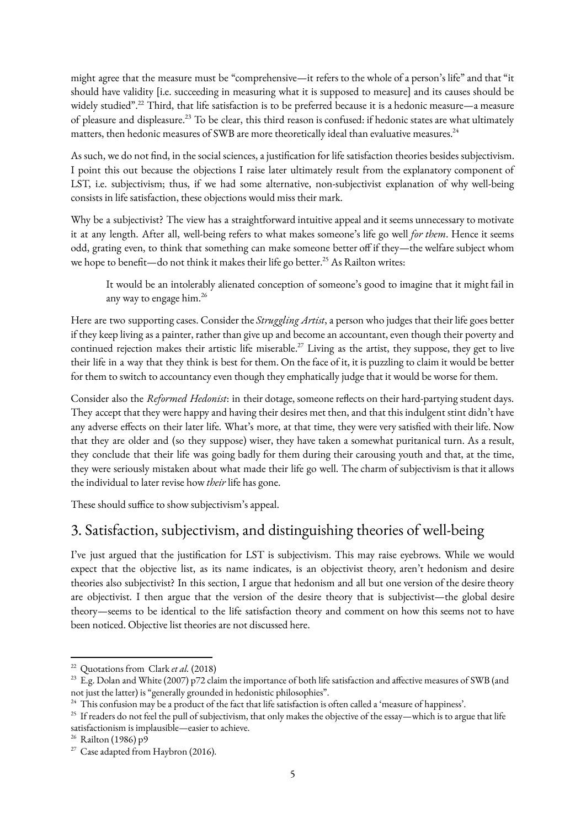might agree that the measure must be "comprehensive—it refers to the whole of a person's life" and that "it should have validity [i.e. succeeding in measuring what it is supposed to measure] and its causes should be widely studied".<sup>22</sup> Third, that life satisfaction is to be preferred because it is a hedonic measure—a measure of pleasure and displeasure.<sup>23</sup> To be clear, this third reason is confused: if hedonic states are what ultimately matters, then hedonic measures of SWB are more theoretically ideal than evaluative measures.<sup>24</sup>

As such, we do not find, in the social sciences, a justification for life satisfaction theories besides subjectivism. I point this out because the objections I raise later ultimately result from the explanatory component of LST, i.e. subjectivism; thus, if we had some alternative, non-subjectivist explanation of why well-being consists in life satisfaction, these objections would miss their mark.

Why be a subjectivist? The view has a straightforward intuitive appeal and it seems unnecessary to motivate it at any length. After all, well-being refers to what makes someone's life go well *for them*. Hence it seems odd, grating even, to think that something can make someone better off if they—the welfare subject whom we hope to benefit—do not think it makes their life go better.<sup>25</sup> As Railton writes:

It would be an intolerably alienated conception of someone's good to imagine that it might fail in any way to engage him.<sup>26</sup>

Here are two supporting cases. Consider the *Struggling Artist*, a person who judges that their life goes better if they keep living as a painter, rather than give up and become an accountant, even though their poverty and continued rejection makes their artistic life miserable.<sup>27</sup> Living as the artist, they suppose, they get to live their life in a way that they think is best for them. On the face of it, it is puzzling to claim it would be better for them to switch to accountancy even though they emphatically judge that it would be worse for them.

Consider also the *Reformed Hedonist*: in their dotage, someone reflects on their hard-partying student days. They accept that they were happy and having their desires met then, and that this indulgent stint didn't have any adverse effects on their later life. What's more, at that time, they were very satisfied with their life. Now that they are older and (so they suppose) wiser, they have taken a somewhat puritanical turn. As a result, they conclude that their life was going badly for them during their carousing youth and that, at the time, they were seriously mistaken about what made their life go well. The charm of subjectivism is that it allows the individual to later revise how *their* life has gone.

These should suffice to show subjectivism's appeal.

# 3. Satisfaction, subjectivism, and distinguishing theories of well-being

I've just argued that the justification for LST is subjectivism. This may raise eyebrows. While we would expect that the objective list, as its name indicates, is an objectivist theory, aren't hedonism and desire theories also subjectivist? In this section, I argue that hedonism and all but one version of the desire theory are objectivist. I then argue that the version of the desire theory that is subjectivist—the global desire theory—seems to be identical to the life satisfaction theory and comment on how this seems not to have been noticed. Objective list theories are not discussed here.

<sup>22</sup> Quotations from Clark *et al.* (2018)

<sup>&</sup>lt;sup>23</sup> E.g. Dolan and White (2007) p72 claim the importance of both life satisfaction and affective measures of SWB (and not just the latter) is "generally grounded in hedonistic philosophies".

<sup>&</sup>lt;sup>24</sup> This confusion may be a product of the fact that life satisfaction is often called a 'measure of happiness'.

<sup>&</sup>lt;sup>25</sup> If readers do not feel the pull of subjectivism, that only makes the objective of the essay—which is to argue that life satisfactionism is implausible—easier to achieve.

<sup>26</sup> Railton (1986) p9

<sup>&</sup>lt;sup>27</sup> Case adapted from Haybron (2016).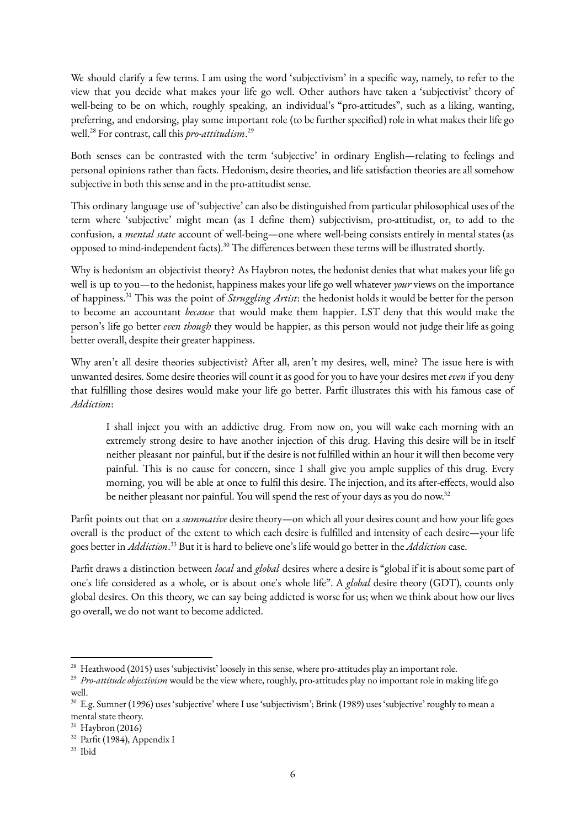We should clarify a few terms. I am using the word 'subjectivism' in a specific way, namely, to refer to the view that you decide what makes your life go well. Other authors have taken a 'subjectivist' theory of well-being to be on which, roughly speaking, an individual's "pro-attitudes", such as a liking, wanting, preferring, and endorsing, play some important role (to be further specified) role in what makes their life go well.<sup>28</sup> For contrast, call this *pro-attitudism*.<sup>29</sup>

Both senses can be contrasted with the term 'subjective' in ordinary English—relating to feelings and personal opinions rather than facts. Hedonism, desire theories, and life satisfaction theories are all somehow subjective in both this sense and in the pro-attitudist sense.

This ordinary language use of 'subjective' can also be distinguished from particular philosophical uses of the term where 'subjective' might mean (as I define them) subjectivism, pro-attitudist, or, to add to the confusion, a *mental state* account of well-being—one where well-being consists entirely in mental states (as opposed to mind-independent facts).<sup>30</sup> The differences between these terms will be illustrated shortly.

Why is hedonism an objectivist theory? As Haybron notes, the hedonist denies that what makes your life go well is up to you—to the hedonist, happiness makes your life go well whatever *your* views on the importance of happiness.<sup>31</sup> This was the point of *Struggling Artist*: the hedonist holds it would be better for the person to become an accountant *because* that would make them happier. LST deny that this would make the person's life go better *even though* they would be happier, as this person would not judge their life as going better overall, despite their greater happiness.

Why aren't all desire theories subjectivist? After all, aren't my desires, well, mine? The issue here is with unwanted desires. Some desire theories will count it as good for you to have your desires met *even* if you deny that fulfilling those desires would make your life go better. Parfit illustrates this with his famous case of *Addiction*:

I shall inject you with an addictive drug. From now on, you will wake each morning with an extremely strong desire to have another injection of this drug. Having this desire will be in itself neither pleasant nor painful, but if the desire is not fulfilled within an hour it will then become very painful. This is no cause for concern, since I shall give you ample supplies of this drug. Every morning, you will be able at once to fulfil this desire. The injection, and its after‐effects, would also be neither pleasant nor painful. You will spend the rest of your days as you do now.<sup>32</sup>

Parfit points out that on a*summative* desire theory—on which all your desires count and how your life goes overall is the product of the extent to which each desire is fulfilled and intensity of each desire—your life goes better in *Addiction*.<sup>33</sup> But it is hard to believe one's life would go better in the *Addiction* case.

Parfit draws a distinction between *local* and *global* desires where a desire is "global if it is about some part of one's life considered as a whole, or is about one's whole life". A *global* desire theory (GDT), counts only global desires. On this theory, we can say being addicted is worse for us; when we think about how our lives go overall, we do not want to become addicted.

<sup>&</sup>lt;sup>28</sup> Heathwood (2015) uses 'subjectivist' loosely in this sense, where pro-attitudes play an important role.

<sup>29</sup> *Pro-attitude objectivism* would be the view where, roughly, pro-attitudes play no important role in making life go well.

<sup>&</sup>lt;sup>30</sup> E.g. Sumner (1996) uses 'subjective' where I use 'subjectivism'; Brink (1989) uses 'subjective' roughly to mean a mental state theory.

<sup>31</sup> Haybron (2016)

<sup>&</sup>lt;sup>32</sup> Parfit (1984), Appendix I

<sup>33</sup> Ibid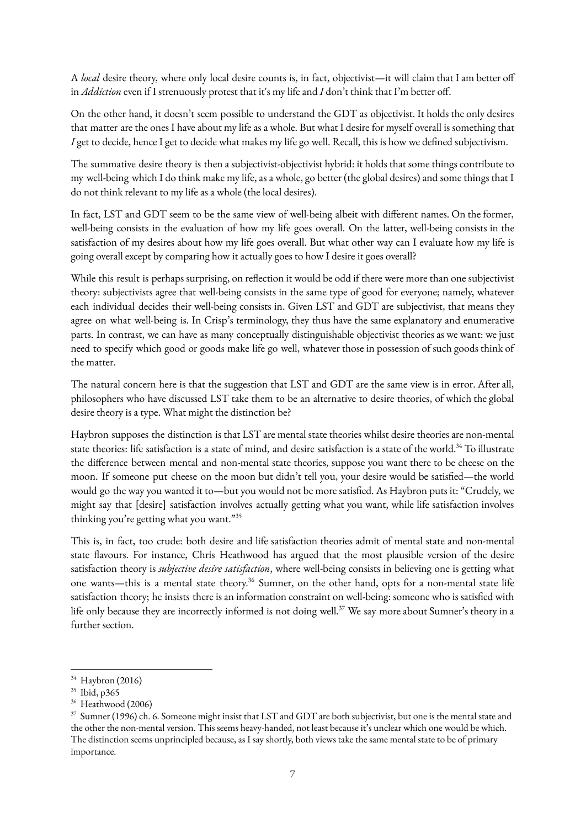A *local* desire theory, where only local desire counts is, in fact, objectivist—it will claim that I am better off in *Addiction* even if I strenuously protest that it's my life and *I* don't think that I'm better off.

On the other hand, it doesn't seem possible to understand the GDT as objectivist. It holds the only desires that matter are the ones I have about my life as a whole. But what I desire for myself overall is something that *I* get to decide, hence I get to decide what makes my life go well. Recall, this is how we defined subjectivism.

The summative desire theory is then a subjectivist-objectivist hybrid: it holds that some things contribute to my well-being which I do think make my life, as a whole, go better (the global desires) and some things that I do not think relevant to my life as a whole (the local desires).

In fact, LST and GDT seem to be the same view of well-being albeit with different names. On the former, well-being consists in the evaluation of how my life goes overall. On the latter, well-being consists in the satisfaction of my desires about how my life goes overall. But what other way can I evaluate how my life is going overall except by comparing how it actually goes to how I desire it goes overall?

While this result is perhaps surprising, on reflection it would be odd if there were more than one subjectivist theory: subjectivists agree that well-being consists in the same type of good for everyone; namely, whatever each individual decides their well-being consists in. Given LST and GDT are subjectivist, that means they agree on what well-being is. In Crisp's terminology, they thus have the same explanatory and enumerative parts. In contrast, we can have as many conceptually distinguishable objectivist theories as we want: we just need to specify which good or goods make life go well, whatever those in possession of such goods think of the matter.

The natural concern here is that the suggestion that LST and GDT are the same view is in error. After all, philosophers who have discussed LST take them to be an alternative to desire theories, of which the global desire theory is a type. What might the distinction be?

Haybron supposes the distinction is that LST are mental state theories whilst desire theories are non-mental state theories: life satisfaction is a state of mind, and desire satisfaction is a state of the world.<sup>34</sup> To illustrate the difference between mental and non-mental state theories, suppose you want there to be cheese on the moon. If someone put cheese on the moon but didn't tell you, your desire would be satisfied—the world would go the way you wanted it to—but you would not be more satisfied. As Haybron puts it: "Crudely, we might say that [desire] satisfaction involves actually getting what you want, while life satisfaction involves thinking you're getting what you want."<sup>35</sup>

This is, in fact, too crude: both desire and life satisfaction theories admit of mental state and non-mental state flavours. For instance, Chris Heathwood has argued that the most plausible version of the desire satisfaction theory is *subjective desire satisfaction*, where well-being consists in believing one is getting what one wants—this is a mental state theory.<sup>36</sup> Sumner, on the other hand, opts for a non-mental state life satisfaction theory; he insists there is an information constraint on well-being: someone who is satisfied with life only because they are incorrectly informed is not doing well.<sup>37</sup> We say more about Sumner's theory in a further section.

<sup>34</sup> Haybron (2016)

<sup>35</sup> Ibid, p365

<sup>&</sup>lt;sup>36</sup> Heathwood (2006)

<sup>&</sup>lt;sup>37</sup> Sumner (1996) ch. 6. Someone might insist that LST and GDT are both subjectivist, but one is the mental state and the other the non-mental version. This seems heavy-handed, not least because it's unclear which one would be which. The distinction seems unprincipled because, as I say shortly, both views take the same mental state to be of primary importance.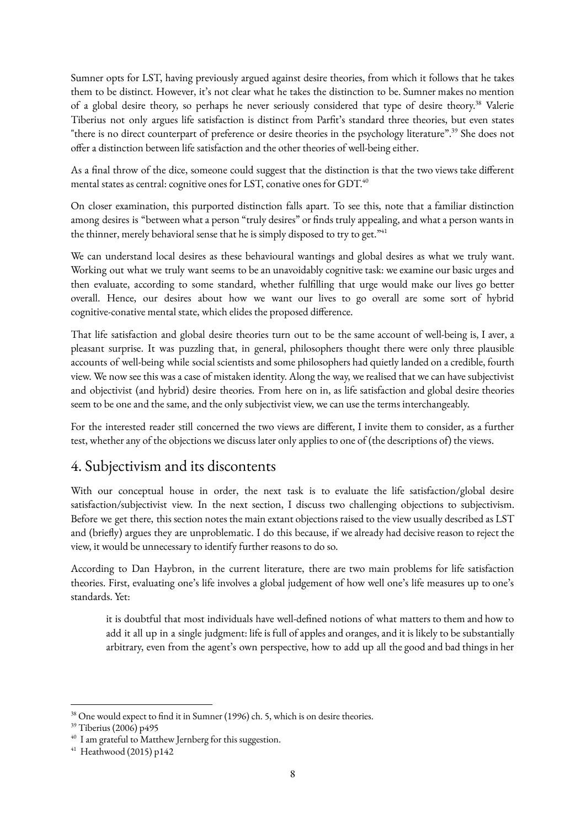Sumner opts for LST, having previously argued against desire theories, from which it follows that he takes them to be distinct. However, it's not clear what he takes the distinction to be. Sumner makes no mention of a global desire theory, so perhaps he never seriously considered that type of desire theory.<sup>38</sup> Valerie Tiberius not only argues life satisfaction is distinct from Parfit's standard three theories, but even states "there is no direct counterpart of preference or desire theories in the psychology literature".<sup>39</sup> She does not offer a distinction between life satisfaction and the other theories of well-being either.

As a final throw of the dice, someone could suggest that the distinction is that the two views take different mental states as central: cognitive ones for LST, conative ones for GDT.<sup>40</sup>

On closer examination, this purported distinction falls apart. To see this, note that a familiar distinction among desires is "between what a person "truly desires" or finds truly appealing, and what a person wants in the thinner, merely behavioral sense that he is simply disposed to try to get. $"$ <sup>41</sup>

We can understand local desires as these behavioural wantings and global desires as what we truly want. Working out what we truly want seems to be an unavoidably cognitive task: we examine our basic urges and then evaluate, according to some standard, whether fulfilling that urge would make our lives go better overall. Hence, our desires about how we want our lives to go overall are some sort of hybrid cognitive-conative mental state, which elides the proposed difference.

That life satisfaction and global desire theories turn out to be the same account of well-being is, I aver, a pleasant surprise. It was puzzling that, in general, philosophers thought there were only three plausible accounts of well-being while social scientists and some philosophers had quietly landed on a credible, fourth view. We now see this was a case of mistaken identity. Along the way, we realised that we can have subjectivist and objectivist (and hybrid) desire theories. From here on in, as life satisfaction and global desire theories seem to be one and the same, and the only subjectivist view, we can use the terms interchangeably.

For the interested reader still concerned the two views are different, I invite them to consider, as a further test, whether any of the objections we discuss later only applies to one of (the descriptions of) the views.

## 4. Subjectivism and its discontents

With our conceptual house in order, the next task is to evaluate the life satisfaction/global desire satisfaction/subjectivist view. In the next section, I discuss two challenging objections to subjectivism. Before we get there, this section notes the main extant objections raised to the view usually described as LST and (briefly) argues they are unproblematic. I do this because, if we already had decisive reason to reject the view, it would be unnecessary to identify further reasons to do so.

According to Dan Haybron, in the current literature, there are two main problems for life satisfaction theories. First, evaluating one's life involves a global judgement of how well one's life measures up to one's standards. Yet:

it is doubtful that most individuals have well-defined notions of what matters to them and how to add it all up in a single judgment: life is full of apples and oranges, and it is likely to be substantially arbitrary, even from the agent's own perspective, how to add up all the good and bad things in her

<sup>&</sup>lt;sup>38</sup> One would expect to find it in Sumner (1996) ch. 5, which is on desire theories.

<sup>39</sup> Tiberius (2006) p495

<sup>&</sup>lt;sup>40</sup> I am grateful to Matthew Jernberg for this suggestion.

<sup>41</sup> Heathwood (2015) p142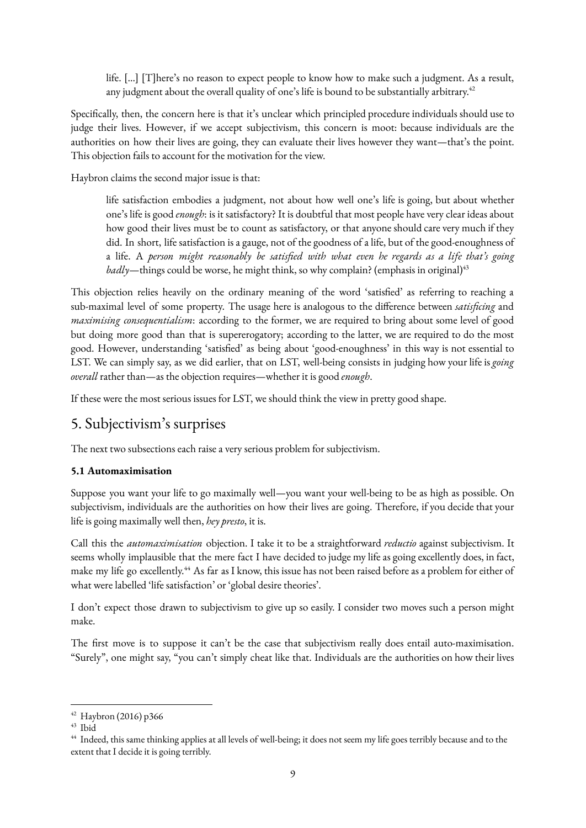life. […] [T]here's no reason to expect people to know how to make such a judgment. As a result, any judgment about the overall quality of one's life is bound to be substantially arbitrary.<sup>42</sup>

Specifically, then, the concern here is that it's unclear which principled procedure individuals should use to judge their lives. However, if we accept subjectivism, this concern is moot: because individuals are the authorities on how their lives are going, they can evaluate their lives however they want—that's the point. This objection fails to account for the motivation for the view.

Haybron claims the second major issue is that:

life satisfaction embodies a judgment, not about how well one's life is going, but about whether one's life is good *enough*: is it satisfactory? It is doubtful that most people have very clear ideas about how good their lives must be to count as satisfactory, or that anyone should care very much if they did. In short, life satisfaction is a gauge, not of the goodness of a life, but of the good-enoughness of a life. A *person might reasonably be satisfied with what even he regards as a life that's going badly*—things could be worse, he might think, so why complain? (emphasis in original)<sup>43</sup>

This objection relies heavily on the ordinary meaning of the word 'satisfied' as referring to reaching a sub-maximal level of some property. The usage here is analogous to the difference between *satisficing* and *maximising consequentialism*: according to the former, we are required to bring about some level of good but doing more good than that is supererogatory; according to the latter, we are required to do the most good. However, understanding 'satisfied' as being about 'good-enoughness' in this way is not essential to LST. We can simply say, as we did earlier, that on LST, well-being consists in judging how your life is *going overall* rather than—as the objection requires—whether it is good *enough*.

If these were the most serious issues for LST, we should think the view in pretty good shape.

## 5. Subjectivism's surprises

The next two subsections each raise a very serious problem for subjectivism.

#### **5.1 Automaximisation**

Suppose you want your life to go maximally well—you want your well-being to be as high as possible. On subjectivism, individuals are the authorities on how their lives are going. Therefore, if you decide that your life is going maximally well then, *hey presto*, it is.

Call this the *automaximisation* objection. I take it to be a straightforward *reductio* against subjectivism. It seems wholly implausible that the mere fact I have decided to judge my life as going excellently does, in fact, make my life go excellently.<sup>44</sup> As far as I know, this issue has not been raised before as a problem for either of what were labelled 'life satisfaction' or 'global desire theories'.

I don't expect those drawn to subjectivism to give up so easily. I consider two moves such a person might make.

The first move is to suppose it can't be the case that subjectivism really does entail auto-maximisation. "Surely", one might say, "you can't simply cheat like that. Individuals are the authorities on how their lives

<sup>42</sup> Haybron (2016) p366

<sup>43</sup> Ibid

<sup>&</sup>lt;sup>44</sup> Indeed, this same thinking applies at all levels of well-being; it does not seem my life goes terribly because and to the extent that I decide it is going terribly.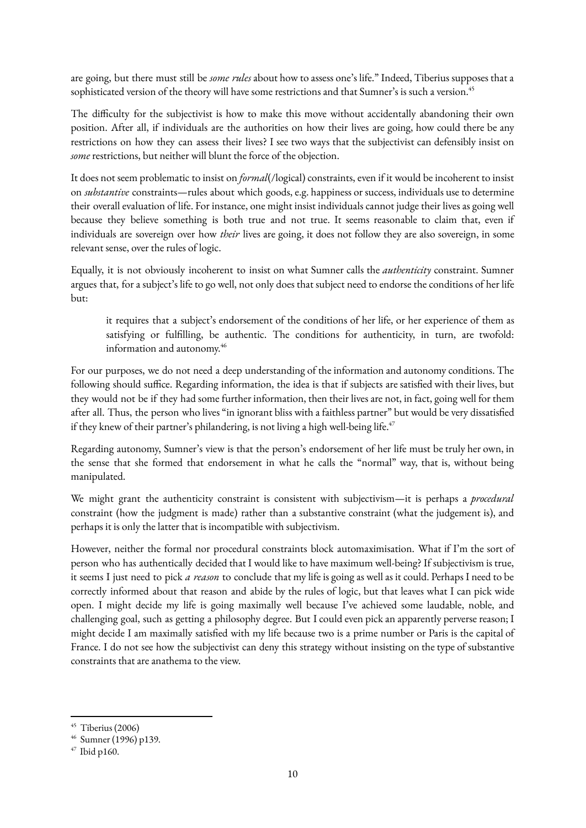are going, but there must still be *some rules*about how to assess one's life." Indeed, Tiberius supposes that a sophisticated version of the theory will have some restrictions and that Sumner's is such a version.<sup>45</sup>

The difficulty for the subjectivist is how to make this move without accidentally abandoning their own position. After all, if individuals are the authorities on how their lives are going, how could there be any restrictions on how they can assess their lives? I see two ways that the subjectivist can defensibly insist on *some* restrictions, but neither will blunt the force of the objection.

It does not seem problematic to insist on *formal*(/logical) constraints, even if it would be incoherent to insist on *substantive* constraints—rules about which goods, e.g. happiness or success, individuals use to determine their overall evaluation of life. For instance, one might insist individuals cannot judge their lives as going well because they believe something is both true and not true. It seems reasonable to claim that, even if individuals are sovereign over how *their* lives are going, it does not follow they are also sovereign, in some relevant sense, over the rules of logic.

Equally, it is not obviously incoherent to insist on what Sumner calls the *authenticity* constraint. Sumner argues that, for a subject's life to go well, not only does that subject need to endorse the conditions of her life but:

it requires that a subject's endorsement of the conditions of her life, or her experience of them as satisfying or fulfilling, be authentic. The conditions for authenticity, in turn, are twofold: information and autonomy.<sup>46</sup>

For our purposes, we do not need a deep understanding of the information and autonomy conditions. The following should suffice. Regarding information, the idea is that if subjects are satisfied with their lives, but they would not be if they had some further information, then their lives are not, in fact, going well for them after all. Thus, the person who lives "in ignorant bliss with a faithless partner" but would be very dissatisfied if they knew of their partner's philandering, is not living a high well-being life. $47$ 

Regarding autonomy, Sumner's view is that the person's endorsement of her life must be truly her own, in the sense that she formed that endorsement in what he calls the "normal" way, that is, without being manipulated.

We might grant the authenticity constraint is consistent with subjectivism—it is perhaps a *procedural* constraint (how the judgment is made) rather than a substantive constraint (what the judgement is), and perhaps it is only the latter that is incompatible with subjectivism.

However, neither the formal nor procedural constraints block automaximisation. What if I'm the sort of person who has authentically decided that I would like to have maximum well-being? If subjectivism is true, it seems I just need to pick *a reason* to conclude that my life is going as well as it could. Perhaps I need to be correctly informed about that reason and abide by the rules of logic, but that leaves what I can pick wide open. I might decide my life is going maximally well because I've achieved some laudable, noble, and challenging goal, such as getting a philosophy degree. But I could even pick an apparently perverse reason; I might decide I am maximally satisfied with my life because two is a prime number or Paris is the capital of France. I do not see how the subjectivist can deny this strategy without insisting on the type of substantive constraints that are anathema to the view.

<sup>45</sup> Tiberius (2006)

<sup>46</sup> Sumner (1996) p139.

<sup>47</sup> Ibid p160.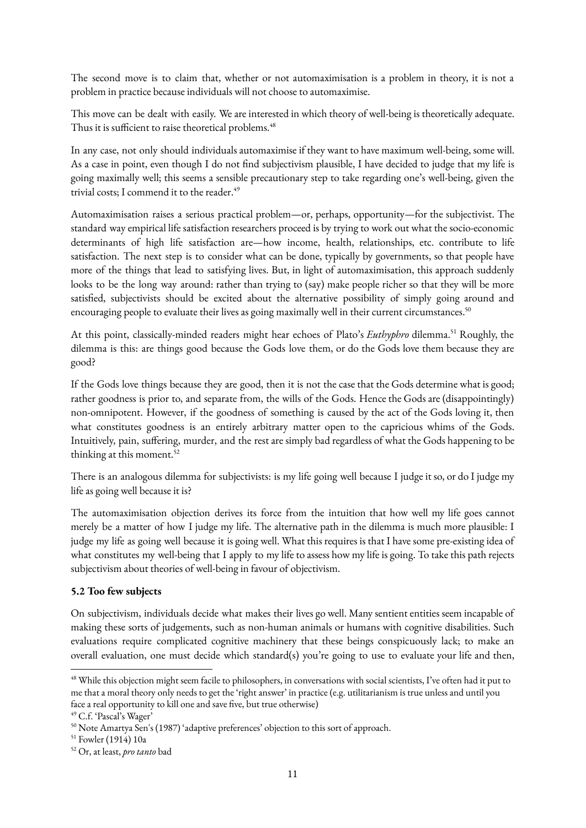The second move is to claim that, whether or not automaximisation is a problem in theory, it is not a problem in practice because individuals will not choose to automaximise.

This move can be dealt with easily. We are interested in which theory of well-being is theoretically adequate. Thus it is sufficient to raise theoretical problems.<sup>48</sup>

In any case, not only should individuals automaximise if they want to have maximum well-being, some will. As a case in point, even though I do not find subjectivism plausible, I have decided to judge that my life is going maximally well; this seems a sensible precautionary step to take regarding one's well-being, given the trivial costs; I commend it to the reader.<sup>49</sup>

Automaximisation raises a serious practical problem—or, perhaps, opportunity—for the subjectivist. The standard way empirical life satisfaction researchers proceed is by trying to work out what the socio-economic determinants of high life satisfaction are—how income, health, relationships, etc. contribute to life satisfaction. The next step is to consider what can be done, typically by governments, so that people have more of the things that lead to satisfying lives. But, in light of automaximisation, this approach suddenly looks to be the long way around: rather than trying to (say) make people richer so that they will be more satisfied, subjectivists should be excited about the alternative possibility of simply going around and encouraging people to evaluate their lives as going maximally well in their current circumstances.<sup>50</sup>

At this point, classically-minded readers might hear echoes of Plato's *Euthyphro* dilemma.<sup>51</sup> Roughly, the dilemma is this: are things good because the Gods love them, or do the Gods love them because they are good?

If the Gods love things because they are good, then it is not the case that the Gods determine what is good; rather goodness is prior to, and separate from, the wills of the Gods. Hence the Gods are (disappointingly) non-omnipotent. However, if the goodness of something is caused by the act of the Gods loving it, then what constitutes goodness is an entirely arbitrary matter open to the capricious whims of the Gods. Intuitively, pain, suffering, murder, and the rest are simply bad regardless of what the Gods happening to be thinking at this moment.<sup>52</sup>

There is an analogous dilemma for subjectivists: is my life going well because I judge it so, or do I judge my life as going well because it is?

The automaximisation objection derives its force from the intuition that how well my life goes cannot merely be a matter of how I judge my life. The alternative path in the dilemma is much more plausible: I judge my life as going well because it is going well. What this requires is that I have some pre-existing idea of what constitutes my well-being that I apply to my life to assess how my life is going. To take this path rejects subjectivism about theories of well-being in favour of objectivism.

#### **5.2 Too few subjects**

On subjectivism, individuals decide what makes their lives go well. Many sentient entities seem incapable of making these sorts of judgements, such as non-human animals or humans with cognitive disabilities. Such evaluations require complicated cognitive machinery that these beings conspicuously lack; to make an overall evaluation, one must decide which standard(s) you're going to use to evaluate your life and then,

<sup>&</sup>lt;sup>48</sup> While this objection might seem facile to philosophers, in conversations with social scientists, I've often had it put to me that a moral theory only needs to get the 'right answer' in practice (e.g. utilitarianism is true unless and until you face a real opportunity to kill one and save five, but true otherwise)

<sup>49</sup> C.f. 'Pascal's Wager'

<sup>50</sup> Note Amartya Sen's (1987) 'adaptive preferences' objection to this sort of approach.

<sup>51</sup> Fowler (1914) 10a

<sup>52</sup> Or, at least, *pro tanto* bad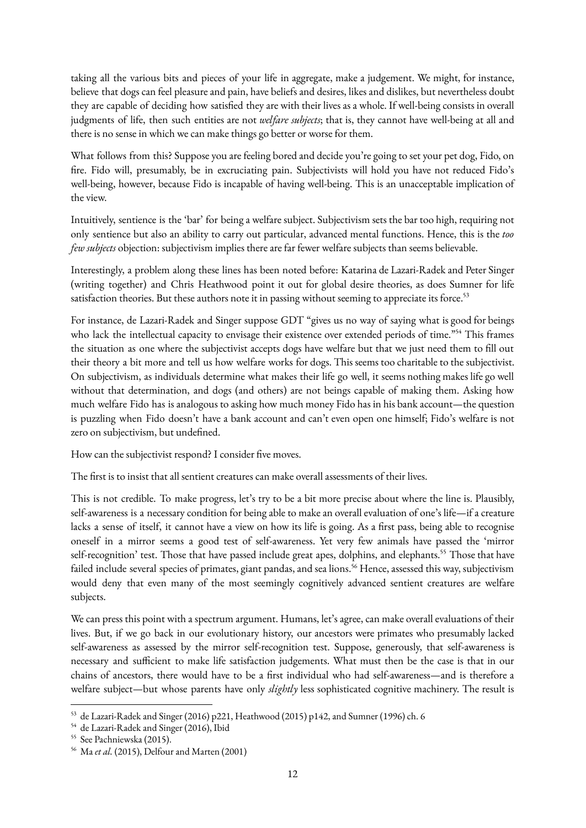taking all the various bits and pieces of your life in aggregate, make a judgement. We might, for instance, believe that dogs can feel pleasure and pain, have beliefs and desires, likes and dislikes, but nevertheless doubt they are capable of deciding how satisfied they are with their lives as a whole. If well-being consists in overall judgments of life, then such entities are not *welfare subjects*; that is, they cannot have well-being at all and there is no sense in which we can make things go better or worse for them.

What follows from this? Suppose you are feeling bored and decide you're going to set your pet dog, Fido, on fire. Fido will, presumably, be in excruciating pain. Subjectivists will hold you have not reduced Fido's well-being, however, because Fido is incapable of having well-being. This is an unacceptable implication of the view.

Intuitively, sentience is the 'bar' for being a welfare subject. Subjectivism sets the bar too high, requiring not only sentience but also an ability to carry out particular, advanced mental functions. Hence, this is the *too few subjects* objection: subjectivism implies there are far fewer welfare subjects than seems believable.

Interestingly, a problem along these lines has been noted before: Katarina de Lazari-Radek and Peter Singer (writing together) and Chris Heathwood point it out for global desire theories, as does Sumner for life satisfaction theories. But these authors note it in passing without seeming to appreciate its force.<sup>53</sup>

For instance, de Lazari-Radek and Singer suppose GDT "gives us no way of saying what is good for beings who lack the intellectual capacity to envisage their existence over extended periods of time."<sup>54</sup> This frames the situation as one where the subjectivist accepts dogs have welfare but that we just need them to fill out their theory a bit more and tell us how welfare works for dogs. This seems too charitable to the subjectivist. On subjectivism, as individuals determine what makes their life go well, it seems nothing makes life go well without that determination, and dogs (and others) are not beings capable of making them. Asking how much welfare Fido has is analogous to asking how much money Fido has in his bank account—the question is puzzling when Fido doesn't have a bank account and can't even open one himself; Fido's welfare is not zero on subjectivism, but undefined.

How can the subjectivist respond? I consider five moves.

The first is to insist that all sentient creatures can make overall assessments of their lives.

This is not credible. To make progress, let's try to be a bit more precise about where the line is. Plausibly, self-awareness is a necessary condition for being able to make an overall evaluation of one's life—if a creature lacks a sense of itself, it cannot have a view on how its life is going. As a first pass, being able to recognise oneself in a mirror seems a good test of self-awareness. Yet very few animals have passed the 'mirror self-recognition' test. Those that have passed include great apes, dolphins, and elephants.<sup>55</sup> Those that have failed include several species of primates, giant pandas, and sea lions.<sup>56</sup> Hence, assessed this way, subjectivism would deny that even many of the most seemingly cognitively advanced sentient creatures are welfare subjects.

We can press this point with a spectrum argument. Humans, let's agree, can make overall evaluations of their lives. But, if we go back in our evolutionary history, our ancestors were primates who presumably lacked self-awareness as assessed by the mirror self-recognition test. Suppose, generously, that self-awareness is necessary and sufficient to make life satisfaction judgements. What must then be the case is that in our chains of ancestors, there would have to be a first individual who had self-awareness—and is therefore a welfare subject—but whose parents have only *slightly* less sophisticated cognitive machinery. The result is

<sup>53</sup> de Lazari-Radek and Singer (2016) p221, Heathwood (2015) p142, and Sumner (1996) ch. 6

<sup>54</sup> de Lazari-Radek and Singer (2016), Ibid

<sup>&</sup>lt;sup>55</sup> See Pachniewska (2015).

<sup>56</sup> Ma *et al.* (2015), Delfour and Marten (2001)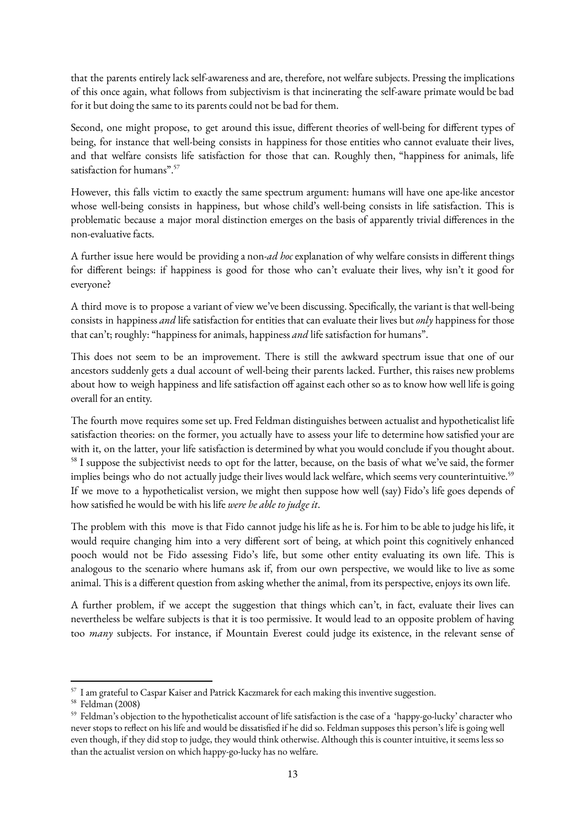that the parents entirely lack self-awareness and are, therefore, not welfare subjects. Pressing the implications of this once again, what follows from subjectivism is that incinerating the self-aware primate would be bad for it but doing the same to its parents could not be bad for them.

Second, one might propose, to get around this issue, different theories of well-being for different types of being, for instance that well-being consists in happiness for those entities who cannot evaluate their lives, and that welfare consists life satisfaction for those that can. Roughly then, "happiness for animals, life satisfaction for humans".<sup>57</sup>

However, this falls victim to exactly the same spectrum argument: humans will have one ape-like ancestor whose well-being consists in happiness, but whose child's well-being consists in life satisfaction. This is problematic because a major moral distinction emerges on the basis of apparently trivial differences in the non-evaluative facts.

A further issue here would be providing a non-*ad hoc*explanation of why welfare consists in different things for different beings: if happiness is good for those who can't evaluate their lives, why isn't it good for everyone?

A third move is to propose a variant of view we've been discussing. Specifically, the variant is that well-being consists in happiness *and* life satisfaction for entities that can evaluate their lives but*only* happiness for those that can't; roughly: "happiness for animals, happiness *and* life satisfaction for humans".

This does not seem to be an improvement. There is still the awkward spectrum issue that one of our ancestors suddenly gets a dual account of well-being their parents lacked. Further, this raises new problems about how to weigh happiness and life satisfaction off against each other so as to know how well life is going overall for an entity.

The fourth move requires some set up. Fred Feldman distinguishes between actualist and hypotheticalist life satisfaction theories: on the former, you actually have to assess your life to determine how satisfied your are with it, on the latter, your life satisfaction is determined by what you would conclude if you thought about. <sup>58</sup> I suppose the subjectivist needs to opt for the latter, because, on the basis of what we've said, the former implies beings who do not actually judge their lives would lack welfare, which seems very counterintuitive.<sup>59</sup> If we move to a hypotheticalist version, we might then suppose how well (say) Fido's life goes depends of how satisfied he would be with his life *were he able to judge it*.

The problem with this move is that Fido cannot judge his life as he is. For him to be able to judge his life, it would require changing him into a very different sort of being, at which point this cognitively enhanced pooch would not be Fido assessing Fido's life, but some other entity evaluating its own life. This is analogous to the scenario where humans ask if, from our own perspective, we would like to live as some animal. This is a different question from asking whether the animal, from its perspective, enjoys its own life.

A further problem, if we accept the suggestion that things which can't, in fact, evaluate their lives can nevertheless be welfare subjects is that it is too permissive. It would lead to an opposite problem of having too *many* subjects. For instance, if Mountain Everest could judge its existence, in the relevant sense of

<sup>57</sup> I am grateful to Caspar Kaiser and Patrick Kaczmarek for each making this inventive suggestion.

<sup>58</sup> Feldman (2008)

<sup>59</sup> Feldman's objection to the hypotheticalist account of life satisfaction is the case of a 'happy-go-lucky' character who never stops to reflect on his life and would be dissatisfied if he did so. Feldman supposes this person's life is going well even though, if they did stop to judge, they would think otherwise. Although this is counter intuitive, it seems less so than the actualist version on which happy-go-lucky has no welfare.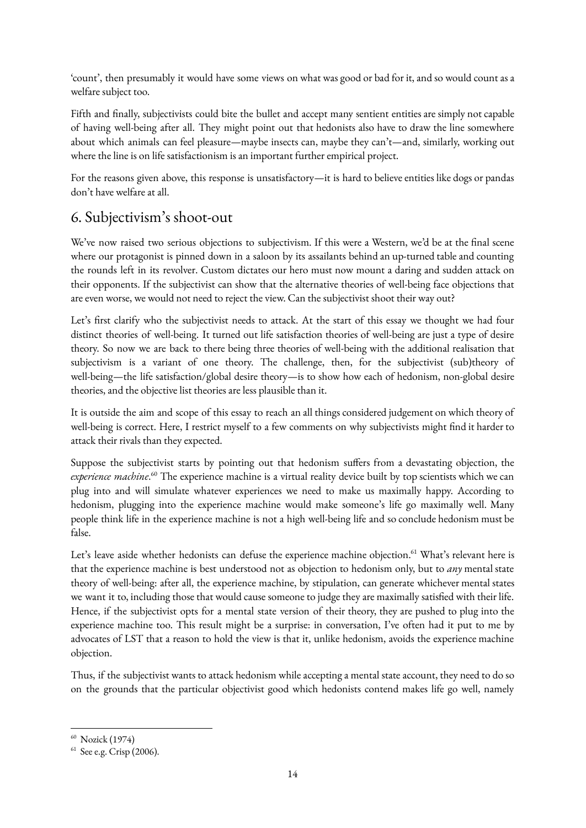'count', then presumably it would have some views on what was good or bad for it, and so would count as a welfare subject too.

Fifth and finally, subjectivists could bite the bullet and accept many sentient entities are simply not capable of having well-being after all. They might point out that hedonists also have to draw the line somewhere about which animals can feel pleasure—maybe insects can, maybe they can't—and, similarly, working out where the line is on life satisfactionism is an important further empirical project.

For the reasons given above, this response is unsatisfactory—it is hard to believe entities like dogs or pandas don't have welfare at all.

# 6. Subjectivism's shoot-out

We've now raised two serious objections to subjectivism. If this were a Western, we'd be at the final scene where our protagonist is pinned down in a saloon by its assailants behind an up-turned table and counting the rounds left in its revolver. Custom dictates our hero must now mount a daring and sudden attack on their opponents. If the subjectivist can show that the alternative theories of well-being face objections that are even worse, we would not need to reject the view. Can the subjectivist shoot their way out?

Let's first clarify who the subjectivist needs to attack. At the start of this essay we thought we had four distinct theories of well-being. It turned out life satisfaction theories of well-being are just a type of desire theory. So now we are back to there being three theories of well-being with the additional realisation that subjectivism is a variant of one theory. The challenge, then, for the subjectivist (sub)theory of well-being—the life satisfaction/global desire theory—is to show how each of hedonism, non-global desire theories, and the objective list theories are less plausible than it.

It is outside the aim and scope of this essay to reach an all things considered judgement on which theory of well-being is correct. Here, I restrict myself to a few comments on why subjectivists might find it harder to attack their rivals than they expected.

Suppose the subjectivist starts by pointing out that hedonism suffers from a devastating objection, the *experience machine*.<sup>60</sup> The experience machine is a virtual reality device built by top scientists which we can plug into and will simulate whatever experiences we need to make us maximally happy. According to hedonism, plugging into the experience machine would make someone's life go maximally well. Many people think life in the experience machine is not a high well-being life and so conclude hedonism must be false.

Let's leave aside whether hedonists can defuse the experience machine objection.<sup>61</sup> What's relevant here is that the experience machine is best understood not as objection to hedonism only, but to *any* mental state theory of well-being: after all, the experience machine, by stipulation, can generate whichever mental states we want it to, including those that would cause someone to judge they are maximally satisfied with their life. Hence, if the subjectivist opts for a mental state version of their theory, they are pushed to plug into the experience machine too. This result might be a surprise: in conversation, I've often had it put to me by advocates of LST that a reason to hold the view is that it, unlike hedonism, avoids the experience machine objection.

Thus, if the subjectivist wants to attack hedonism while accepting a mental state account, they need to do so on the grounds that the particular objectivist good which hedonists contend makes life go well, namely

<sup>60</sup> Nozick (1974)

<sup>61</sup> See e.g. Crisp (2006).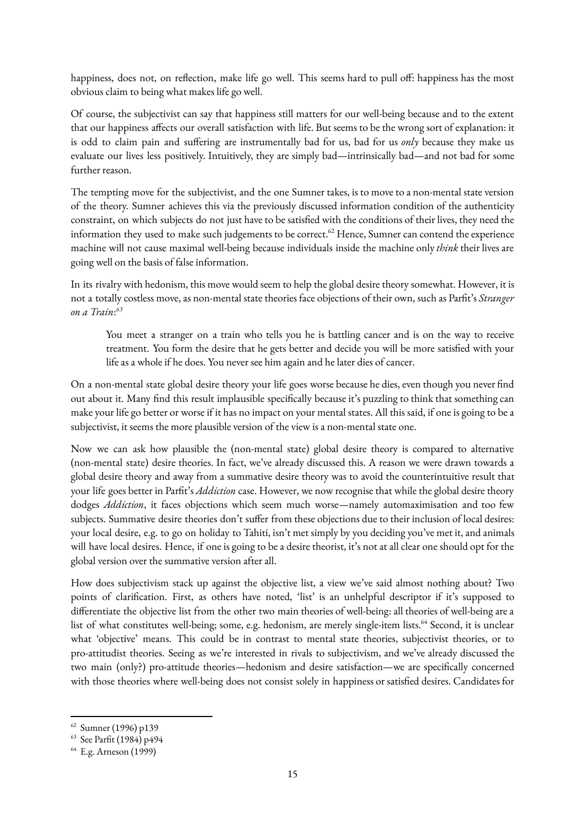happiness, does not, on reflection, make life go well. This seems hard to pull off: happiness has the most obvious claim to being what makes life go well.

Of course, the subjectivist can say that happiness still matters for our well-being because and to the extent that our happiness affects our overall satisfaction with life. But seems to be the wrong sort of explanation: it is odd to claim pain and suffering are instrumentally bad for us, bad for us *only* because they make us evaluate our lives less positively. Intuitively, they are simply bad—intrinsically bad—and not bad for some further reason.

The tempting move for the subjectivist, and the one Sumner takes, is to move to a non-mental state version of the theory. Sumner achieves this via the previously discussed information condition of the authenticity constraint, on which subjects do not just have to be satisfied with the conditions of their lives, they need the information they used to make such judgements to be correct.<sup>62</sup> Hence, Sumner can contend the experience machine will not cause maximal well-being because individuals inside the machine only *think* their lives are going well on the basis of false information.

In its rivalry with hedonism, this move would seem to help the global desire theory somewhat. However, it is not a totally costless move, as non-mental state theories face objections of their own, such as Parfit's *Stranger on a Train*: *63*

You meet a stranger on a train who tells you he is battling cancer and is on the way to receive treatment. You form the desire that he gets better and decide you will be more satisfied with your life as a whole if he does. You never see him again and he later dies of cancer.

On a non-mental state global desire theory your life goes worse because he dies, even though you never find out about it. Many find this result implausible specifically because it's puzzling to think that something can make your life go better or worse if it has no impact on your mental states. All this said, if one is going to be a subjectivist, it seems the more plausible version of the view is a non-mental state one.

Now we can ask how plausible the (non-mental state) global desire theory is compared to alternative (non-mental state) desire theories. In fact, we've already discussed this. A reason we were drawn towards a global desire theory and away from a summative desire theory was to avoid the counterintuitive result that your life goes better in Parfit's *Addiction* case. However, we now recognise that while the global desire theory dodges *Addiction*, it faces objections which seem much worse—namely automaximisation and too few subjects. Summative desire theories don't suffer from these objections due to their inclusion of local desires: your local desire, e.g. to go on holiday to Tahiti, isn't met simply by you deciding you've met it, and animals will have local desires. Hence, if one is going to be a desire theorist, it's not at all clear one should opt for the global version over the summative version after all.

How does subjectivism stack up against the objective list, a view we've said almost nothing about? Two points of clarification. First, as others have noted, 'list' is an unhelpful descriptor if it's supposed to differentiate the objective list from the other two main theories of well-being: all theories of well-being are a list of what constitutes well-being; some, e.g. hedonism, are merely single-item lists.<sup>64</sup> Second, it is unclear what 'objective' means. This could be in contrast to mental state theories, subjectivist theories, or to pro-attitudist theories. Seeing as we're interested in rivals to subjectivism, and we've already discussed the two main (only?) pro-attitude theories—hedonism and desire satisfaction—we are specifically concerned with those theories where well-being does not consist solely in happiness or satisfied desires. Candidates for

<sup>62</sup> Sumner (1996) p139

<sup>63</sup> See Parfit (1984) p494

<sup>64</sup> E.g. Arneson (1999)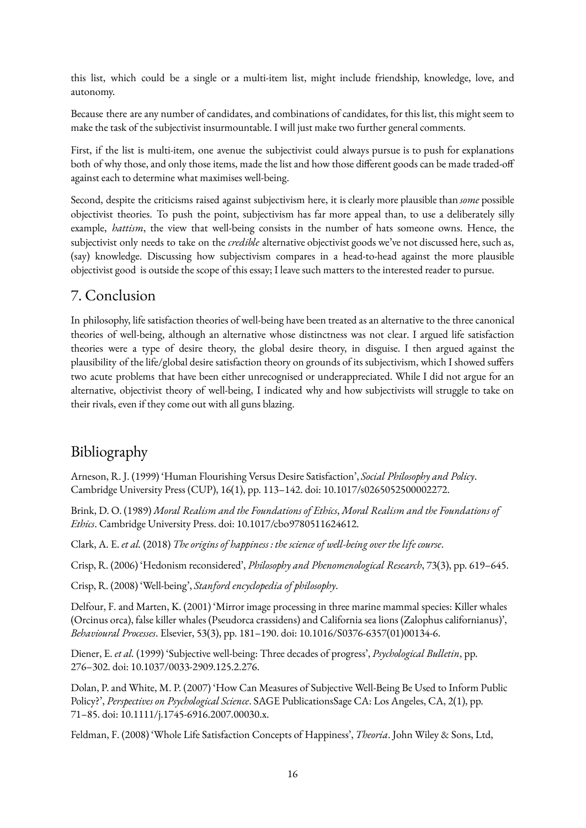this list, which could be a single or a multi-item list, might include friendship, knowledge, love, and autonomy.

Because there are any number of candidates, and combinations of candidates, for this list, this might seem to make the task of the subjectivist insurmountable. I will just make two further general comments.

First, if the list is multi-item, one avenue the subjectivist could always pursue is to push for explanations both of why those, and only those items, made the list and how those different goods can be made traded-off against each to determine what maximises well-being.

Second, despite the criticisms raised against subjectivism here, it is clearly more plausible than *some* possible objectivist theories. To push the point, subjectivism has far more appeal than, to use a deliberately silly example, *hattism*, the view that well-being consists in the number of hats someone owns. Hence, the subjectivist only needs to take on the *credible* alternative objectivist goods we've not discussed here, such as, (say) knowledge. Discussing how subjectivism compares in a head-to-head against the more plausible objectivist good is outside the scope of this essay; I leave such matters to the interested reader to pursue.

## 7. Conclusion

In philosophy, life satisfaction theories of well-being have been treated as an alternative to the three canonical theories of well-being, although an alternative whose distinctness was not clear. I argued life satisfaction theories were a type of desire theory, the global desire theory, in disguise. I then argued against the plausibility of the life/global desire satisfaction theory on grounds of its subjectivism, which I showed suffers two acute problems that have been either unrecognised or underappreciated. While I did not argue for an alternative, objectivist theory of well-being, I indicated why and how subjectivists will struggle to take on their rivals, even if they come out with all guns blazing.

# Bibliography

Arneson, R. J. (1999) 'Human Flourishing Versus Desire Satisfaction', *Social Philosophy and Policy*. Cambridge University Press (CUP), 16(1), pp. 113–142. doi: 10.1017/s0265052500002272.

Brink, D. O. (1989) *Moral Realism and the Foundations of Ethics*, *Moral Realism and the Foundations of Ethics*. Cambridge University Press. doi: 10.1017/cbo9780511624612.

Clark, A. E. *et al.* (2018) *The origins of happiness : the science of well-being over the life course*.

Crisp, R. (2006) 'Hedonism reconsidered', *Philosophy and Phenomenological Research*, 73(3), pp. 619–645.

Crisp, R. (2008) 'Well-being', *Stanford encyclopedia of philosophy*.

Delfour, F. and Marten, K. (2001) 'Mirror image processing in three marine mammal species: Killer whales (Orcinus orca), false killer whales (Pseudorca crassidens) and California sea lions (Zalophus californianus)', *Behavioural Processes*. Elsevier, 53(3), pp. 181–190. doi: 10.1016/S0376-6357(01)00134-6.

Diener, E. *et al.* (1999) 'Subjective well-being: Three decades of progress', *Psychological Bulletin*, pp. 276–302. doi: 10.1037/0033-2909.125.2.276.

Dolan, P. and White, M. P. (2007) 'How Can Measures of Subjective Well-Being Be Used to Inform Public Policy?', *Perspectives on Psychological Science*. SAGE PublicationsSage CA: Los Angeles, CA, 2(1), pp. 71–85. doi: 10.1111/j.1745-6916.2007.00030.x.

Feldman, F. (2008) 'Whole Life Satisfaction Concepts of Happiness', *Theoria*. John Wiley & Sons, Ltd,